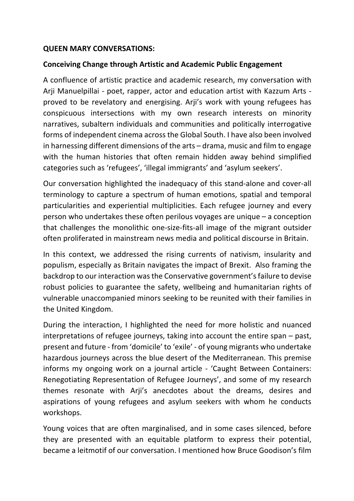## **QUEEN MARY CONVERSATIONS:**

## **Conceiving Change through Artistic and Academic Public Engagement**

A confluence of artistic practice and academic research, my conversation with Arji Manuelpillai - poet, rapper, actor and education artist with Kazzum Arts proved to be revelatory and energising. Arji's work with young refugees has conspicuous intersections with my own research interests on minority narratives, subaltern individuals and communities and politically interrogative forms of independent cinema across the Global South. I have also been involved in harnessing different dimensions of the arts – drama, music and film to engage with the human histories that often remain hidden away behind simplified categories such as 'refugees', 'illegal immigrants' and 'asylum seekers'.

Our conversation highlighted the inadequacy of this stand-alone and cover-all terminology to capture a spectrum of human emotions, spatial and temporal particularities and experiential multiplicities. Each refugee journey and every person who undertakes these often perilous voyages are unique – a conception that challenges the monolithic one-size-fits-all image of the migrant outsider often proliferated in mainstream news media and political discourse in Britain.

In this context, we addressed the rising currents of nativism, insularity and populism, especially as Britain navigates the impact of Brexit. Also framing the backdrop to our interaction was the Conservative government'sfailure to devise robust policies to guarantee the safety, wellbeing and humanitarian rights of vulnerable unaccompanied minors seeking to be reunited with their families in the United Kingdom.

During the interaction, I highlighted the need for more holistic and nuanced interpretations of refugee journeys, taking into account the entire span – past, present and future - from 'domicile' to 'exile' - of young migrants who undertake hazardous journeys across the blue desert of the Mediterranean. This premise informs my ongoing work on a journal article - 'Caught Between Containers: Renegotiating Representation of Refugee Journeys', and some of my research themes resonate with Arji's anecdotes about the dreams, desires and aspirations of young refugees and asylum seekers with whom he conducts workshops.

Young voices that are often marginalised, and in some cases silenced, before they are presented with an equitable platform to express their potential, became a leitmotif of our conversation. I mentioned how Bruce Goodison's film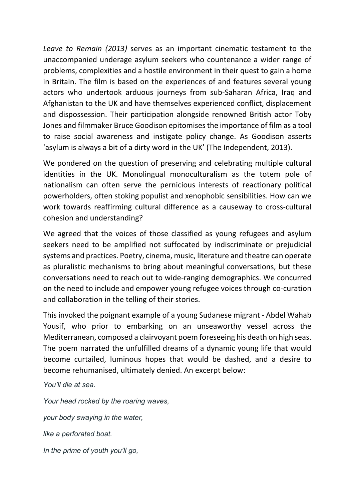*Leave to Remain (2013)* serves as an important cinematic testament to the unaccompanied underage asylum seekers who countenance a wider range of problems, complexities and a hostile environment in their quest to gain a home in Britain. The film is based on the experiences of and features several young actors who undertook arduous journeys from sub-Saharan Africa, Iraq and Afghanistan to the UK and have themselves experienced conflict, displacement and dispossession. Their participation alongside renowned British actor Toby Jones and filmmaker Bruce Goodison epitomises the importance of film as a tool to raise social awareness and instigate policy change. As Goodison asserts 'asylum is always a bit of a dirty word in the UK' (The Independent, 2013).

We pondered on the question of preserving and celebrating multiple cultural identities in the UK. Monolingual monoculturalism as the totem pole of nationalism can often serve the pernicious interests of reactionary political powerholders, often stoking populist and xenophobic sensibilities. How can we work towards reaffirming cultural difference as a causeway to cross-cultural cohesion and understanding?

We agreed that the voices of those classified as young refugees and asylum seekers need to be amplified not suffocated by indiscriminate or prejudicial systems and practices. Poetry, cinema, music, literature and theatre can operate as pluralistic mechanisms to bring about meaningful conversations, but these conversations need to reach out to wide-ranging demographics. We concurred on the need to include and empower young refugee voices through co-curation and collaboration in the telling of their stories.

This invoked the poignant example of a young Sudanese migrant - Abdel Wahab Yousif, who prior to embarking on an unseaworthy vessel across the Mediterranean, composed a clairvoyant poem foreseeing his death on high seas. The poem narrated the unfulfilled dreams of a dynamic young life that would become curtailed, luminous hopes that would be dashed, and a desire to become rehumanised, ultimately denied. An excerpt below:

*You'll die at sea.*

*Your head rocked by the roaring waves,*

*your body swaying in the water,*

*like a perforated boat.*

*In the prime of youth you'll go,*